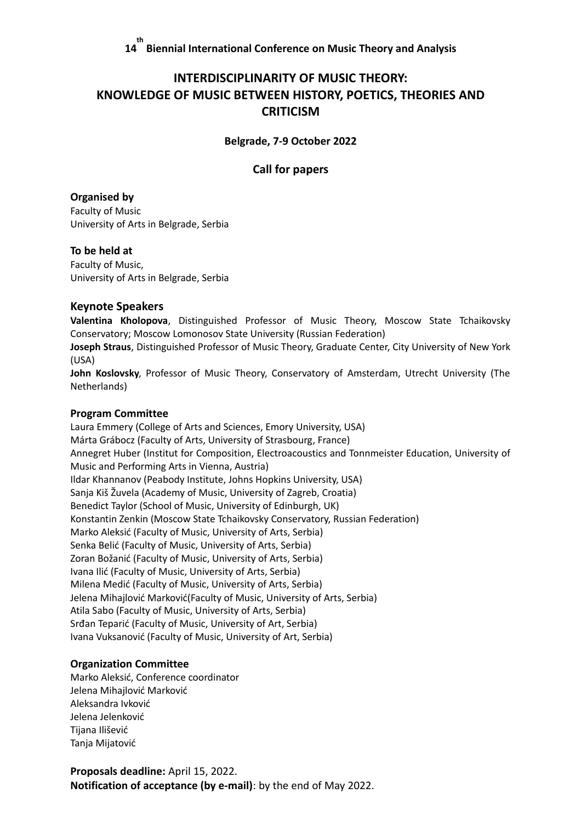# **INTERDISCIPLINARITY OF MUSIC THEORY: KNOWLEDGE OF MUSIC BETWEEN HISTORY, POETICS, THEORIES AND CRITICISM**

**Belgrade, 7-9 October 2022**

# **Call for papers**

# **Organised by**

Faculty of Music University of Arts in Belgrade, Serbia

## **To be held at**

Faculty of Music, University of Arts in Belgrade, Serbia

## **Keynote Speakers**

**Valentina Kholopova**, Distinguished Professor of Music Theory, Moscow State Tchaikovsky Conservatory; Moscow Lomonosov State University (Russian Federation)

**Joseph Straus**, Distinguished Professor of Music Theory, Graduate Center, City University of New York (USA)

**John Koslovsky**, Professor of Music Theory, Conservatory of Amsterdam, Utrecht University (The Netherlands)

### **Program Committee**

Laura Emmery (College of Arts and Sciences, Emory University, USA) Márta Grábocz (Faculty of Arts, University of Strasbourg, France) Annegret Huber (Institut for Composition, Electroacoustics and Tonnmeister Education, University of Music and Performing Arts in Vienna, Austria) Ildar Khannanov (Peabody Institute, Johns Hopkins University, USA) Sanja Kiš Žuvela (Academy of Music, University of Zagreb, Croatia) Benedict Taylor (School of Music, University of Edinburgh, UK) Konstantin Zenkin (Moscow State Tchaikovsky Conservatory, Russian Federation) Marko Aleksić (Faculty of Music, University of Arts, Serbia) Senka Belić (Faculty of Music, University of Arts, Serbia) Zoran Božanić (Faculty of Music, University of Arts, Serbia) Ivana Ilić (Faculty of Music, University of Arts, Serbia) Milena Medić (Faculty of Music, University of Arts, Serbia) Jelena Mihajlović Marković(Faculty of Music, University of Arts, Serbia) Atila Sabo (Faculty of Music, University of Arts, Serbia) Srđan Teparić (Faculty of Music, University of Art, Serbia) Ivana Vuksanović (Faculty of Music, University of Art, Serbia)

# **Organization Committee**

Marko Aleksić, Conference coordinator Jelena Mihajlović Marković Aleksandra Ivković Jelena Jelenković Tijana Ilišević Tanja Mijatović

**Proposals deadline:** April 15, 2022. **Notification of acceptance (by e-mail)**: by the end of May 2022.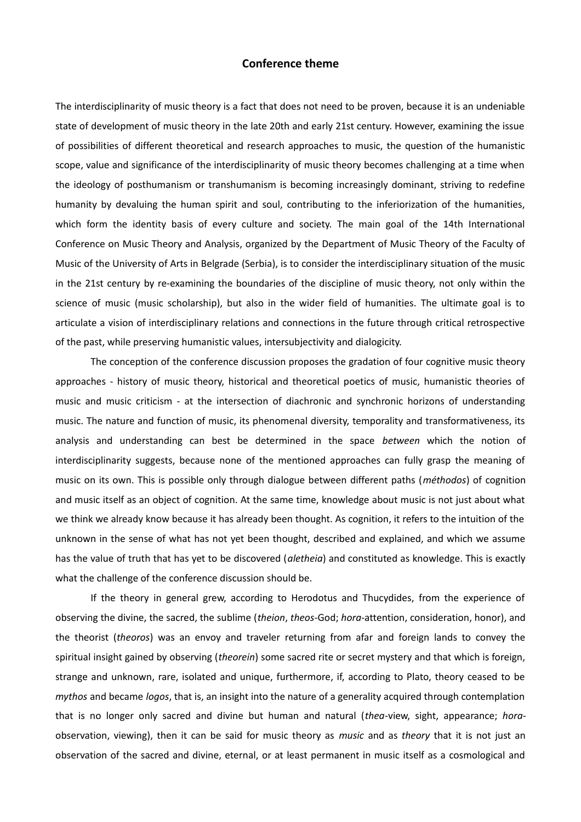#### **Conference theme**

The interdisciplinarity of music theory is a fact that does not need to be proven, because it is an undeniable state of development of music theory in the late 20th and early 21st century. However, examining the issue of possibilities of different theoretical and research approaches to music, the question of the humanistic scope, value and significance of the interdisciplinarity of music theory becomes challenging at a time when the ideology of posthumanism or transhumanism is becoming increasingly dominant, striving to redefine humanity by devaluing the human spirit and soul, contributing to the inferiorization of the humanities, which form the identity basis of every culture and society. The main goal of the 14th International Conference on Music Theory and Analysis, organized by the Department of Music Theory of the Faculty of Music of the University of Arts in Belgrade (Serbia), is to consider the interdisciplinary situation of the music in the 21st century by re-examining the boundaries of the discipline of music theory, not only within the science of music (music scholarship), but also in the wider field of humanities. The ultimate goal is to articulate a vision of interdisciplinary relations and connections in the future through critical retrospective of the past, while preserving humanistic values, intersubjectivity and dialogicity.

The conception of the conference discussion proposes the gradation of four cognitive music theory approaches - history of music theory, historical and theoretical poetics of music, humanistic theories of music and music criticism - at the intersection of diachronic and synchronic horizons of understanding music. The nature and function of music, its phenomenal diversity, temporality and transformativeness, its analysis and understanding can best be determined in the space *between* which the notion of interdisciplinarity suggests, because none of the mentioned approaches can fully grasp the meaning of music on its own. This is possible only through dialogue between different paths (*méthodos*) of cognition and music itself as an object of cognition. At the same time, knowledge about music is not just about what we think we already know because it has already been thought. As cognition, it refers to the intuition of the unknown in the sense of what has not yet been thought, described and explained, and which we assume has the value of truth that has yet to be discovered (*aletheia*) and constituted as knowledge. This is exactly what the challenge of the conference discussion should be.

If the theory in general grew, according to Herodotus and Thucydides, from the experience of observing the divine, the sacred, the sublime (*theion*, *theos*-God; *hora*-attention, consideration, honor), and the theorist (*theoros*) was an envoy and traveler returning from afar and foreign lands to convey the spiritual insight gained by observing (*theorein*) some sacred rite or secret mystery and that which is foreign, strange and unknown, rare, isolated and unique, furthermore, if, according to Plato, theory ceased to be *mythos* and became *logos*, that is, an insight into the nature of a generality acquired through contemplation that is no longer only sacred and divine but human and natural (*thea*-view, sight, appearance; *hora*observation, viewing), then it can be said for music theory as *music* and as *theory* that it is not just an observation of the sacred and divine, eternal, or at least permanent in music itself as a cosmological and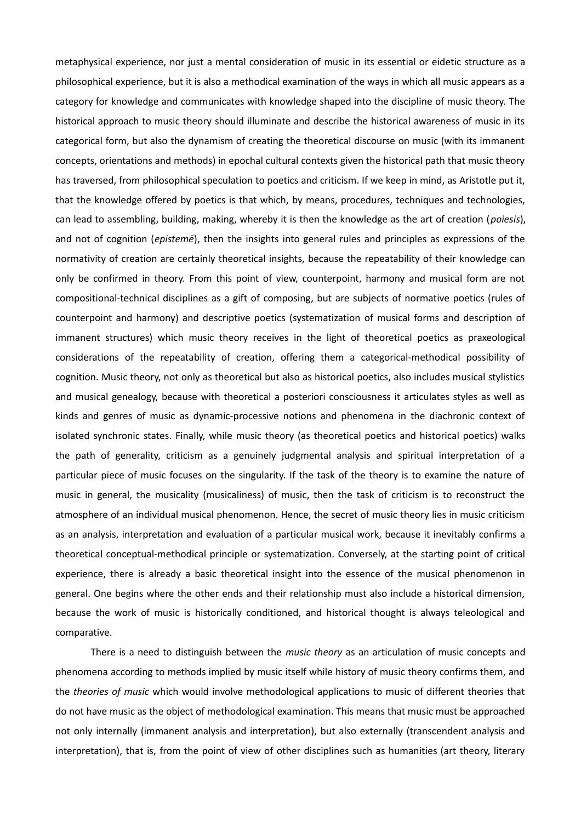metaphysical experience, nor just a mental consideration of music in its essential or eidetic structure as a philosophical experience, but it is also a methodical examination of the ways in which all music appears as a category for knowledge and communicates with knowledge shaped into the discipline of music theory. The historical approach to music theory should illuminate and describe the historical awareness of music in its categorical form, but also the dynamism of creating the theoretical discourse on music (with its immanent concepts, orientations and methods) in epochal cultural contexts given the historical path that music theory has traversed, from philosophical speculation to poetics and criticism. If we keep in mind, as Aristotle put it, that the knowledge offered by poetics is that which, by means, procedures, techniques and technologies, can lead to assembling, building, making, whereby it is then the knowledge as the art of creation (*poiesis*), and not of cognition (*epistemē*), then the insights into general rules and principles as expressions of the normativity of creation are certainly theoretical insights, because the repeatability of their knowledge can only be confirmed in theory. From this point of view, counterpoint, harmony and musical form are not compositional-technical disciplines as a gift of composing, but are subjects of normative poetics (rules of counterpoint and harmony) and descriptive poetics (systematization of musical forms and description of immanent structures) which music theory receives in the light of theoretical poetics as praxeological considerations of the repeatability of creation, offering them a categorical-methodical possibility of cognition. Music theory, not only as theoretical but also as historical poetics, also includes musical stylistics and musical genealogy, because with theoretical a posteriori consciousness it articulates styles as well as kinds and genres of music as dynamic-processive notions and phenomena in the diachronic context of isolated synchronic states. Finally, while music theory (as theoretical poetics and historical poetics) walks the path of generality, criticism as a genuinely judgmental analysis and spiritual interpretation of a particular piece of music focuses on the singularity. If the task of the theory is to examine the nature of music in general, the musicality (musicaliness) of music, then the task of criticism is to reconstruct the atmosphere of an individual musical phenomenon. Hence, the secret of music theory lies in music criticism as an analysis, interpretation and evaluation of a particular musical work, because it inevitably confirms a theoretical conceptual-methodical principle or systematization. Conversely, at the starting point of critical experience, there is already a basic theoretical insight into the essence of the musical phenomenon in general. One begins where the other ends and their relationship must also include a historical dimension, because the work of music is historically conditioned, and historical thought is always teleological and comparative.

There is a need to distinguish between the *music theory* as an articulation of music concepts and phenomena according to methods implied by music itself while history of music theory confirms them, and the *theories of music* which would involve methodological applications to music of different theories that do not have music as the object of methodological examination. This means that music must be approached not only internally (immanent analysis and interpretation), but also externally (transcendent analysis and interpretation), that is, from the point of view of other disciplines such as humanities (art theory, literary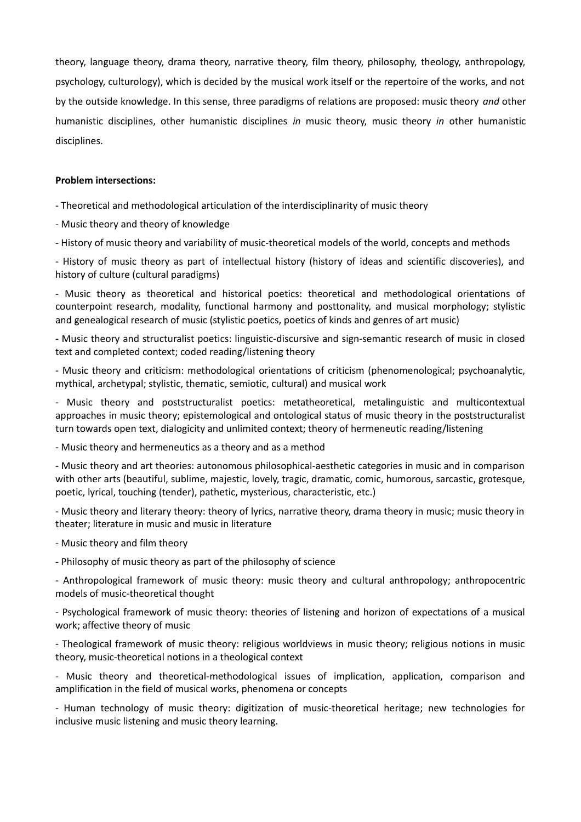theory, language theory, drama theory, narrative theory, film theory, philosophy, theology, anthropology, psychology, culturology), which is decided by the musical work itself or the repertoire of the works, and not by the outside knowledge. In this sense, three paradigms of relations are proposed: music theory *and* other humanistic disciplines, other humanistic disciplines *in* music theory, music theory *in* other humanistic disciplines.

#### **Problem intersections:**

- Theoretical and methodological articulation of the interdisciplinarity of music theory

- Music theory and theory of knowledge

- History of music theory and variability of music-theoretical models of the world, concepts and methods

- History of music theory as part of intellectual history (history of ideas and scientific discoveries), and history of culture (cultural paradigms)

- Music theory as theoretical and historical poetics: theoretical and methodological orientations of counterpoint research, modality, functional harmony and posttonality, and musical morphology; stylistic and genealogical research of music (stylistic poetics, poetics of kinds and genres of art music)

- Music theory and structuralist poetics: linguistic-discursive and sign-semantic research of music in closed text and completed context; coded reading/listening theory

- Music theory and criticism: methodological orientations of criticism (phenomenological; psychoanalytic, mythical, archetypal; stylistic, thematic, semiotic, cultural) and musical work

- Music theory and poststructuralist poetics: metatheoretical, metalinguistic and multicontextual approaches in music theory; epistemological and ontological status of music theory in the poststructuralist turn towards open text, dialogicity and unlimited context; theory of hermeneutic reading/listening

- Music theory and hermeneutics as a theory and as a method

- Music theory and art theories: autonomous philosophical-aesthetic categories in music and in comparison with other arts (beautiful, sublime, majestic, lovely, tragic, dramatic, comic, humorous, sarcastic, grotesque, poetic, lyrical, touching (tender), pathetic, mysterious, characteristic, etc.)

- Music theory and literary theory: theory of lyrics, narrative theory, drama theory in music; music theory in theater; literature in music and music in literature

- Music theory and film theory

- Philosophy of music theory as part of the philosophy of science

- Anthropological framework of music theory: music theory and cultural anthropology; anthropocentric models of music-theoretical thought

- Psychological framework of music theory: theories of listening and horizon of expectations of a musical work; affective theory of music

- Theological framework of music theory: religious worldviews in music theory; religious notions in music theory, music-theoretical notions in a theological context

- Music theory and theoretical-methodological issues of implication, application, comparison and amplification in the field of musical works, phenomena or concepts

- Human technology of music theory: digitization of music-theoretical heritage; new technologies for inclusive music listening and music theory learning.